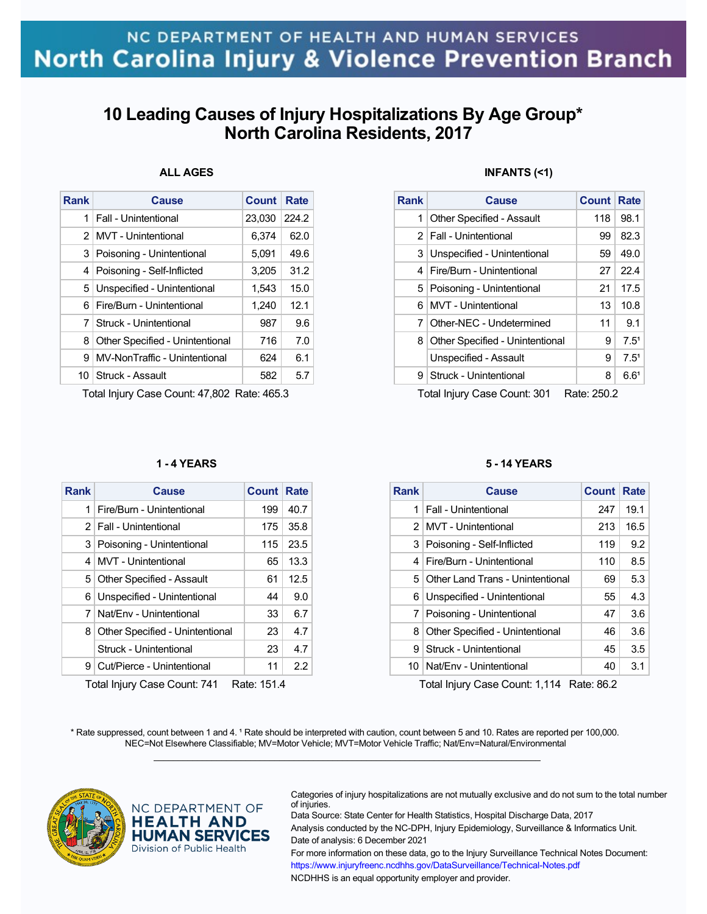# **10 Leading Causes of Injury Hospitalizations By Age Group\* North Carolina Residents, 2017**

## **ALL AGES**

| Rank          | Cause                           | <b>Count</b> | Rate  |
|---------------|---------------------------------|--------------|-------|
| 1             | Fall - Unintentional            | 23,030       | 224.2 |
| $\mathcal{P}$ | MVT - Unintentional             | 6.374        | 62.0  |
| 3             | Poisoning - Unintentional       | 5,091        | 49.6  |
| 4             | Poisoning - Self-Inflicted      | 3,205        | 31.2  |
| 5             | Unspecified - Unintentional     | 1,543        | 15.0  |
| 6             | Fire/Burn - Unintentional       | 1,240        | 12.1  |
| 7             | Struck - Unintentional          | 987          | 9.6   |
| 8             | Other Specified - Unintentional | 716          | 7.0   |
| 9             | MV-NonTraffic - Unintentional   | 624          | 6.1   |
| 10 I          | Struck - Assault                | 582          | 5.7   |

Total Injury Case Count: 47,802 Rate: 465.3

### **1 - 4 YEARS**

| <b>Rank</b>    | Cause                            | Count      | Rate |
|----------------|----------------------------------|------------|------|
| 1              | Fire/Burn - Unintentional        | 199        | 40.7 |
|                | 2   Fall - Unintentional         | 175        | 35.8 |
|                | 3 Poisoning - Unintentional      | 115        | 23.5 |
|                | 4   MVT - Unintentional          | 65         | 13.3 |
| 5              | <b>Other Specified - Assault</b> | 61         | 12.5 |
|                | 6 Unspecified - Unintentional    | 44         | 9.0  |
| 7 <sup>1</sup> | Nat/Env - Unintentional          | 33         | 6.7  |
| 8              | Other Specified - Unintentional  | 23         | 4.7  |
|                | Struck - Unintentional           | 23         | 4.7  |
| 9 <sup>1</sup> | Cut/Pierce - Unintentional       | 11         | 2.2  |
|                | Total Injuny Case Count: 741     | Data: 1511 |      |

Total Injury Case Count: 741 Rate: 151.4

## **INFANTS (<1)**

| Rank | Cause                            | <b>Count Rate</b> |                  |
|------|----------------------------------|-------------------|------------------|
| 1    | <b>Other Specified - Assault</b> | 118               | 98.1             |
|      | 2   Fall - Unintentional         | 99                | 82.3             |
|      | 3 Unspecified - Unintentional    | 59                | 49.0             |
| 4    | Fire/Burn - Unintentional        | 27                | 22.4             |
|      | 5   Poisoning - Unintentional    | 21                | 17.5             |
| 6    | MVT - Unintentional              | 13                | 10.8             |
| 7    | Other-NEC - Undetermined         | 11                | 9.1              |
| 8    | Other Specified - Unintentional  | 9                 | 7.5 <sup>1</sup> |
|      | Unspecified - Assault            | 9                 | 7.5 <sup>1</sup> |
| 9    | Struck - Unintentional           | 8                 | 6.6 <sup>1</sup> |

Total Injury Case Count: 301 Rate: 250.2

### **5 - 14 YEARS**

| <b>Rank</b> | Cause                              | <b>Count</b> | Rate |
|-------------|------------------------------------|--------------|------|
| 1           | Fall - Unintentional               | 247          | 19.1 |
|             | 2 MVT - Unintentional              | 213          | 16.5 |
|             | 3 Poisoning - Self-Inflicted       | 119          | 9.2  |
| 4           | Fire/Burn - Unintentional          | 110          | 8.5  |
|             | 5 Other Land Trans - Unintentional | 69           | 5.3  |
| 6           | Unspecified - Unintentional        | 55           | 4.3  |
| 7           | Poisoning - Unintentional          | 47           | 3.6  |
| 8           | Other Specified - Unintentional    | 46           | 3.6  |
| я           | Struck - Unintentional             | 45           | 3.5  |
|             | 10   Nat/Env - Unintentional       | 40           | 3.1  |

Total Injury Case Count: 1,114 Rate: 86.2

\* Rate suppressed, count between 1 and 4. <sup>1</sup> Rate should be interpreted with caution, count between 5 and 10. Rates are reported per 100,000. NEC=Not Elsewhere Classifiable; MV=Motor Vehicle; MVT=Motor Vehicle Traffic; Nat/Env=Natural/Environmental  $\mathcal{L}_\mathcal{L} = \{ \mathcal{L}_\mathcal{L} = \{ \mathcal{L}_\mathcal{L} = \{ \mathcal{L}_\mathcal{L} = \{ \mathcal{L}_\mathcal{L} = \{ \mathcal{L}_\mathcal{L} = \{ \mathcal{L}_\mathcal{L} = \{ \mathcal{L}_\mathcal{L} = \{ \mathcal{L}_\mathcal{L} = \{ \mathcal{L}_\mathcal{L} = \{ \mathcal{L}_\mathcal{L} = \{ \mathcal{L}_\mathcal{L} = \{ \mathcal{L}_\mathcal{L} = \{ \mathcal{L}_\mathcal{L} = \{ \mathcal{L}_\mathcal{$ 



NC DEPARTMENT OF **HEALTH AND HUMAN SERVICES** Division of Public Health

Categories of injury hospitalizations are not mutually exclusive and do not sum to the total number of injuries.

Data Source: State Center for Health Statistics, Hospital Discharge Data, 2017 Analysis conducted by the NC-DPH, Injury Epidemiology, Surveillance & Informatics Unit. Date of analysis: 6 December 2021 For more information on these data, go to the Injury Surveillance Technical Notes Document: https://www.injuryfreenc.ncdhhs.gov/DataSurveillance/Technical-Notes.pdf NCDHHS is an equal opportunity employer and provider.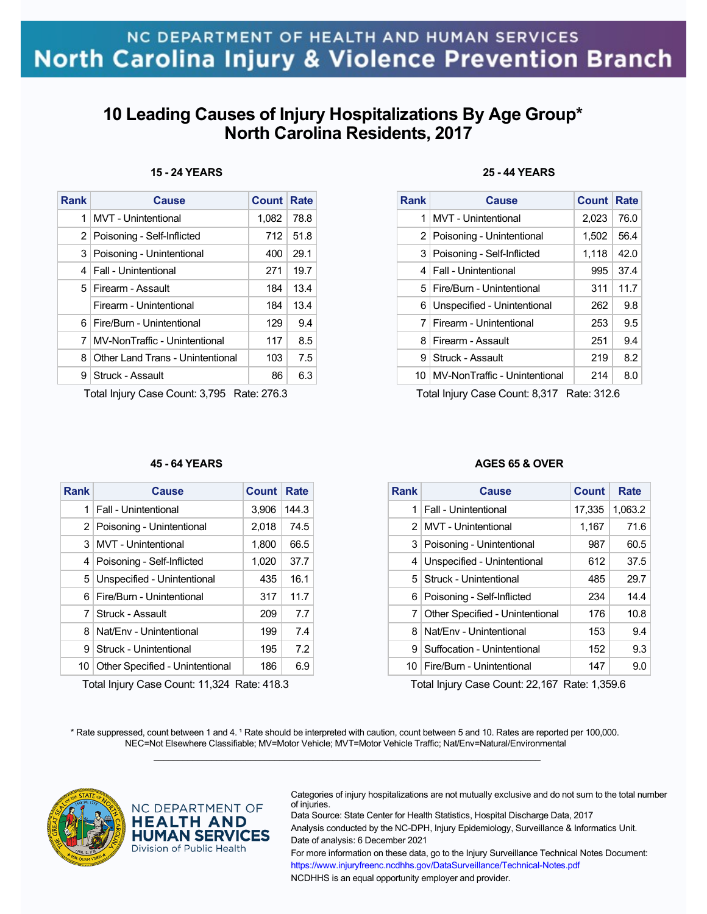# **10 Leading Causes of Injury Hospitalizations By Age Group\* North Carolina Residents, 2017**

| <b>Rank</b> | Cause                            | <b>Count Rate</b> |      |
|-------------|----------------------------------|-------------------|------|
| 1           | MVT - Unintentional              | 1,082             | 78.8 |
| 2           | Poisoning - Self-Inflicted       | 712               | 51.8 |
| 3           | Poisoning - Unintentional        | 400               | 29.1 |
| 4           | Fall - Unintentional             | 271               | 19.7 |
|             | 5 Firearm - Assault              | 184               | 13.4 |
|             | Firearm - Unintentional          | 184               | 13.4 |
| 6.          | Fire/Burn - Unintentional        | 129               | 9.4  |
| 7           | MV-NonTraffic - Unintentional    | 117               | 8.5  |
| 8           | Other Land Trans - Unintentional | 103               | 7.5  |
| 9           | Struck - Assault                 | 86                | 6.3  |

## **15 - 24 YEARS**

Total Injury Case Count: 3,795 Rate: 276.3

## **25 - 44 YEARS**

| Rank | Cause                              | <b>Count Rate</b> |      |
|------|------------------------------------|-------------------|------|
| 1    | MVT - Unintentional                | 2,023             | 76.0 |
|      | 2   Poisoning - Unintentional      | 1,502             | 56.4 |
|      | 3 Poisoning - Self-Inflicted       | 1,118             | 42.0 |
|      | 4   Fall - Unintentional           | 995               | 37.4 |
|      | 5   Fire/Burn - Unintentional      | 311               | 11.7 |
|      | 6 Unspecified - Unintentional      | 262               | 9.8  |
| 7    | Firearm - Unintentional            | 253               | 9.5  |
| 8    | Firearm - Assault                  | 251               | 9.4  |
| 9    | Struck - Assault                   | 219               | 8.2  |
|      | 10   MV-NonTraffic - Unintentional | 214               | 8.0  |

Total Injury Case Count: 8,317 Rate: 312.6

### **45 - 64 YEARS**

| Rank | Cause                            | Count | Rate  |
|------|----------------------------------|-------|-------|
| 1    | Fall - Unintentional             | 3,906 | 144.3 |
|      | 2   Poisoning - Unintentional    | 2,018 | 74.5  |
| 3    | <b>MVT</b> - Unintentional       | 1,800 | 66.5  |
| 4    | Poisoning - Self-Inflicted       | 1,020 | 37.7  |
| 5    | Unspecified - Unintentional      | 435   | 16.1  |
| 6.   | <b>Fire/Burn - Unintentional</b> | 317   | 11.7  |
| 7    | Struck - Assault                 | 209   | 7.7   |
| 8    | Nat/Fny - Unintentional          | 199   | 74    |
| 9    | Struck - Unintentional           | 195   | 7.2   |
| 10   | Other Specified - Unintentional  | 186   | 6.9   |

Total Injury Case Count: 11,324 Rate: 418.3

### **AGES 65 & OVER**

| <b>Rank</b>    | Cause                           | Count  | Rate    |
|----------------|---------------------------------|--------|---------|
| 1              | Fall - Unintentional            | 17,335 | 1,063.2 |
| 2 <sup>1</sup> | MVT - Unintentional             | 1,167  | 71.6    |
| 3              | Poisoning - Unintentional       | 987    | 60.5    |
| 4              | Unspecified - Unintentional     | 612    | 37.5    |
| 5 <sup>1</sup> | Struck - Unintentional          | 485    | 29.7    |
| 6              | Poisoning - Self-Inflicted      | 234    | 14.4    |
| 7 <sup>1</sup> | Other Specified - Unintentional | 176    | 10.8    |
| 8              | Nat/Fny - Unintentional         | 153    | 9.4     |
| 9              | Suffocation - Unintentional     | 152    | 9.3     |
| 10             | Fire/Burn - Unintentional       | 147    | 9.0     |

Total Injury Case Count: 22,167 Rate: 1,359.6

\* Rate suppressed, count between 1 and 4. <sup>1</sup> Rate should be interpreted with caution, count between 5 and 10. Rates are reported per 100,000. NEC=Not Elsewhere Classifiable; MV=Motor Vehicle; MVT=Motor Vehicle Traffic; Nat/Env=Natural/Environmental  $\mathcal{L}_\mathcal{L} = \{ \mathcal{L}_\mathcal{L} = \{ \mathcal{L}_\mathcal{L} = \{ \mathcal{L}_\mathcal{L} = \{ \mathcal{L}_\mathcal{L} = \{ \mathcal{L}_\mathcal{L} = \{ \mathcal{L}_\mathcal{L} = \{ \mathcal{L}_\mathcal{L} = \{ \mathcal{L}_\mathcal{L} = \{ \mathcal{L}_\mathcal{L} = \{ \mathcal{L}_\mathcal{L} = \{ \mathcal{L}_\mathcal{L} = \{ \mathcal{L}_\mathcal{L} = \{ \mathcal{L}_\mathcal{L} = \{ \mathcal{L}_\mathcal{$ 



NC DEPARTMENT OF **HEALTH AND HUMAN SERVICES** Division of Public Health

Categories of injury hospitalizations are not mutually exclusive and do not sum to the total number of injuries.

Data Source: State Center for Health Statistics, Hospital Discharge Data, 2017 Analysis conducted by the NC-DPH, Injury Epidemiology, Surveillance & Informatics Unit. Date of analysis: 6 December 2021 For more information on these data, go to the Injury Surveillance Technical Notes Document: https://www.injuryfreenc.ncdhhs.gov/DataSurveillance/Technical-Notes.pdf

NCDHHS is an equal opportunity employer and provider.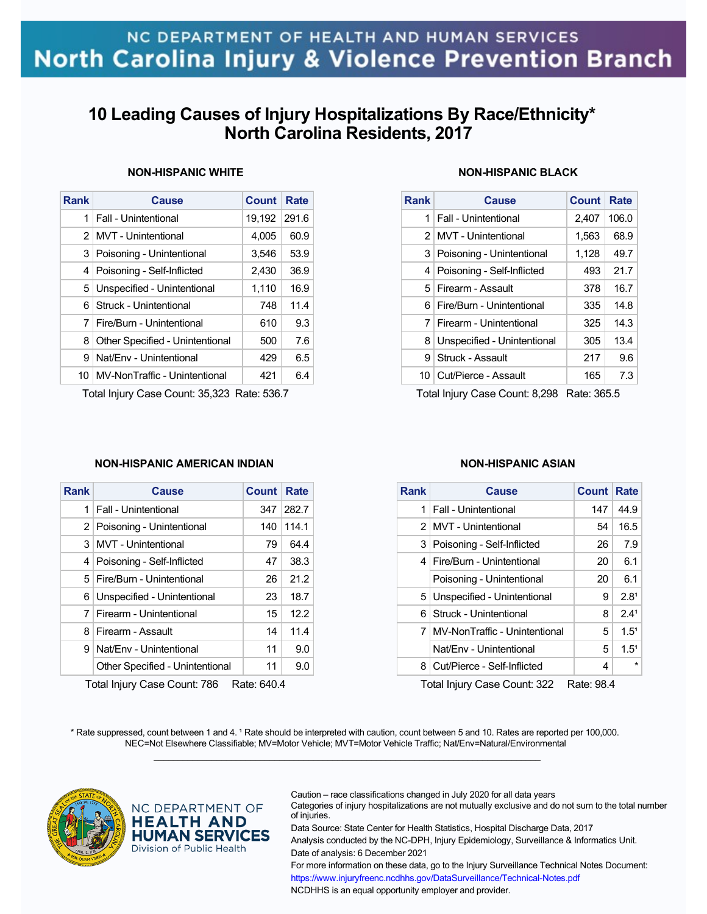# **10 Leading Causes of Injury Hospitalizations By Race/Ethnicity\* North Carolina Residents, 2017**

| Rank | Cause                           | <b>Count</b> | Rate  |
|------|---------------------------------|--------------|-------|
| 1    | Fall - Unintentional            | 19,192       | 291.6 |
| 2    | MVT - Unintentional             | 4.005        | 60.9  |
| 3    | Poisoning - Unintentional       | 3,546        | 53.9  |
| 4    | Poisoning - Self-Inflicted      | 2,430        | 36.9  |
| 5    | Unspecified - Unintentional     | 1,110        | 16.9  |
| 6    | Struck - Unintentional          | 748          | 11.4  |
| 7    | Fire/Burn - Unintentional       | 610          | 9.3   |
| 8    | Other Specified - Unintentional | 500          | 7.6   |
| 9    | Nat/Fny - Unintentional         | 429          | 6.5   |
| 10   | MV-NonTraffic - Unintentional   | 421          | 6.4   |

### **NON-HISPANIC WHITE**

Total Injury Case Count: 35,323 Rate: 536.7

## **NON-HISPANIC BLACK**

| <b>Rank</b> | Cause                         | <b>Count</b> | Rate  |
|-------------|-------------------------------|--------------|-------|
| 1           | Fall - Unintentional          | 2,407        | 106.0 |
|             | 2   MVT - Unintentional       | 1,563        | 68.9  |
|             | 3   Poisoning - Unintentional | 1,128        | 49.7  |
| 4           | Poisoning - Self-Inflicted    | 493          | 21.7  |
|             | 5 Firearm - Assault           | 378          | 16.7  |
| 61          | Fire/Burn - Unintentional     | 335          | 14.8  |
|             | 7   Firearm - Unintentional   | 325          | 14.3  |
| 8           | Unspecified - Unintentional   | 305          | 13.4  |
| 9           | Struck - Assault              | 217          | 9.6   |
|             | 10 Cut/Pierce - Assault       | 165          | 7.3   |

Total Injury Case Count: 8,298 Rate: 365.5

### **NON-HISPANIC AMERICAN INDIAN**

| Rank | Cause                           | <b>Count Rate</b> |       |
|------|---------------------------------|-------------------|-------|
| 1    | <b>Fall - Unintentional</b>     | 347               | 282.7 |
|      | 2 Poisoning - Unintentional     | 140               | 114.1 |
| 3 I  | MVT - Unintentional             | 79                | 64.4  |
| 4    | Poisoning - Self-Inflicted      | 47                | 38.3  |
|      | 5   Fire/Burn - Unintentional   | 26                | 21.2  |
| 6    | Unspecified - Unintentional     | 23                | 18.7  |
| 7    | Firearm - Unintentional         | 15                | 12.2  |
| 8    | Firearm - Assault               | 14                | 11.4  |
| 9    | Nat/Fny - Unintentional         | 11                | 9.0   |
|      | Other Specified - Unintentional | 11                | 9.0   |

Total Injury Case Count: 786 Rate: 640.4

### **NON-HISPANIC ASIAN**

| <b>Rank</b>   | <b>Cause</b>                  | Count | Rate             |
|---------------|-------------------------------|-------|------------------|
| 1             | <b>Fall - Unintentional</b>   | 147   | 44.9             |
| $\mathcal{P}$ | MVT - Unintentional           | 54    | 16.5             |
|               | 3 Poisoning - Self-Inflicted  | 26    | 7.9              |
| 4             | Fire/Burn - Unintentional     | 20    | 6.1              |
|               | Poisoning - Unintentional     | 20    | 6.1              |
| 5             | Unspecified - Unintentional   | 9     | 2.8 <sup>1</sup> |
| 6.            | Struck - Unintentional        | 8     | 2.4 <sup>1</sup> |
| 7             | MV-NonTraffic - Unintentional | 5     | 1.5 <sup>1</sup> |
|               | Nat/Env - Unintentional       | 5     | 1.5 <sup>1</sup> |
| 8             | Cut/Pierce - Self-Inflicted   | 4     |                  |
|               |                               |       |                  |

Total Injury Case Count: 322 Rate: 98.4

\* Rate suppressed, count between 1 and 4. <sup>1</sup> Rate should be interpreted with caution, count between 5 and 10. Rates are reported per 100,000. NEC=Not Elsewhere Classifiable; MV=Motor Vehicle; MVT=Motor Vehicle Traffic; Nat/Env=Natural/Environmental  $\mathcal{L}_\mathcal{L} = \{ \mathcal{L}_\mathcal{L} = \{ \mathcal{L}_\mathcal{L} = \{ \mathcal{L}_\mathcal{L} = \{ \mathcal{L}_\mathcal{L} = \{ \mathcal{L}_\mathcal{L} = \{ \mathcal{L}_\mathcal{L} = \{ \mathcal{L}_\mathcal{L} = \{ \mathcal{L}_\mathcal{L} = \{ \mathcal{L}_\mathcal{L} = \{ \mathcal{L}_\mathcal{L} = \{ \mathcal{L}_\mathcal{L} = \{ \mathcal{L}_\mathcal{L} = \{ \mathcal{L}_\mathcal{L} = \{ \mathcal{L}_\mathcal{$ 



NC DEPARTMENT OF **HEALTH AND HUMAN SERVICES** Division of Public Health

Caution – race classifications changed in July 2020 for all data years

Categories of injury hospitalizations are not mutually exclusive and do not sum to the total number of injuries.

Data Source: State Center for Health Statistics, Hospital Discharge Data, 2017 Analysis conducted by the NC-DPH, Injury Epidemiology, Surveillance & Informatics Unit. Date of analysis: 6 December 2021

For more information on these data, go to the Injury Surveillance Technical Notes Document: https://www.injuryfreenc.ncdhhs.gov/DataSurveillance/Technical-Notes.pdf NCDHHS is an equal opportunity employer and provider.